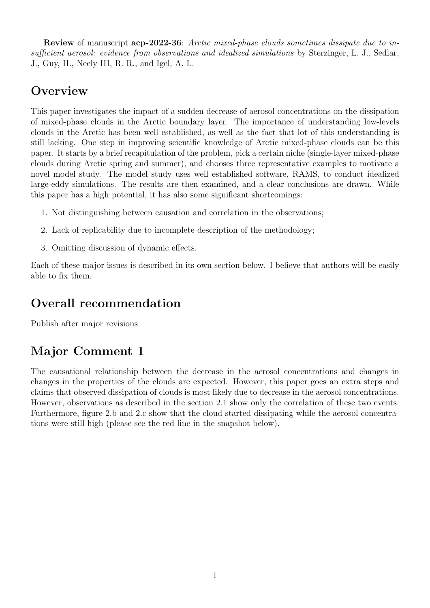Review of manuscript acp-2022-36: Arctic mixed-phase clouds sometimes dissipate due to insufficient aerosol: evidence from observations and idealized simulations by Sterzinger, L. J., Sedlar, J., Guy, H., Neely III, R. R., and Igel, A. L.

# **Overview**

This paper investigates the impact of a sudden decrease of aerosol concentrations on the dissipation of mixed-phase clouds in the Arctic boundary layer. The importance of understanding low-levels clouds in the Arctic has been well established, as well as the fact that lot of this understanding is still lacking. One step in improving scientific knowledge of Arctic mixed-phase clouds can be this paper. It starts by a brief recapitulation of the problem, pick a certain niche (single-layer mixed-phase clouds during Arctic spring and summer), and chooses three representative examples to motivate a novel model study. The model study uses well established software, RAMS, to conduct idealized large-eddy simulations. The results are then examined, and a clear conclusions are drawn. While this paper has a high potential, it has also some significant shortcomings:

- 1. Not distinguishing between causation and correlation in the observations;
- 2. Lack of replicability due to incomplete description of the methodology;
- 3. Omitting discussion of dynamic effects.

Each of these major issues is described in its own section below. I believe that authors will be easily able to fix them.

# Overall recommendation

Publish after major revisions

# Major Comment 1

The causational relationship between the decrease in the aerosol concentrations and changes in changes in the properties of the clouds are expected. However, this paper goes an extra steps and claims that observed dissipation of clouds is most likely due to decrease in the aerosol concentrations. However, observations as described in the section 2.1 show only the correlation of these two events. Furthermore, figure 2.b and 2.c show that the cloud started dissipating while the aerosol concentrations were still high (please see the red line in the snapshot below).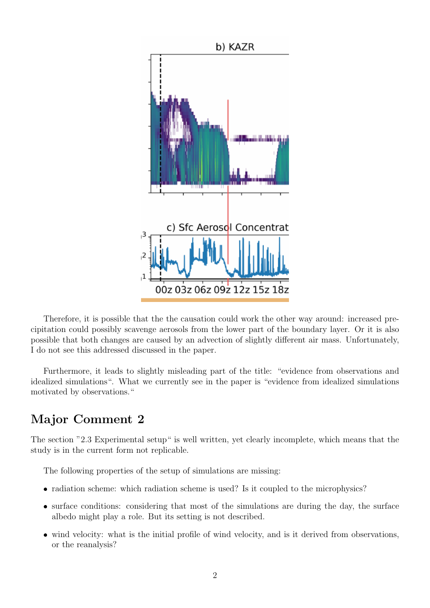

Therefore, it is possible that the the causation could work the other way around: increased precipitation could possibly scavenge aerosols from the lower part of the boundary layer. Or it is also possible that both changes are caused by an advection of slightly different air mass. Unfortunately, I do not see this addressed discussed in the paper.

Furthermore, it leads to slightly misleading part of the title: "evidence from observations and idealized simulations". What we currently see in the paper is "evidence from idealized simulations motivated by observations."

### Major Comment 2

The section "2.3 Experimental setup" is well written, yet clearly incomplete, which means that the study is in the current form not replicable.

The following properties of the setup of simulations are missing:

- radiation scheme: which radiation scheme is used? Is it coupled to the microphysics?
- surface conditions: considering that most of the simulations are during the day, the surface albedo might play a role. But its setting is not described.
- wind velocity: what is the initial profile of wind velocity, and is it derived from observations, or the reanalysis?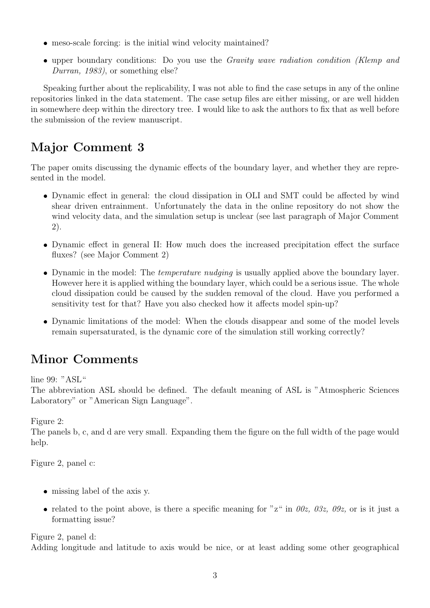- meso-scale forcing: is the initial wind velocity maintained?
- upper boundary conditions: Do you use the Gravity wave radiation condition (Klemp and Durran, 1983), or something else?

Speaking further about the replicability, I was not able to find the case setups in any of the online repositories linked in the data statement. The case setup files are either missing, or are well hidden in somewhere deep within the directory tree. I would like to ask the authors to fix that as well before the submission of the review manuscript.

# Major Comment 3

The paper omits discussing the dynamic effects of the boundary layer, and whether they are represented in the model.

- Dynamic effect in general: the cloud dissipation in OLI and SMT could be affected by wind shear driven entrainment. Unfortunately the data in the online repository do not show the wind velocity data, and the simulation setup is unclear (see last paragraph of Major Comment 2).
- Dynamic effect in general II: How much does the increased precipitation effect the surface fluxes? (see Major Comment 2)
- Dynamic in the model: The *temperature nudging* is usually applied above the boundary layer. However here it is applied withing the boundary layer, which could be a serious issue. The whole cloud dissipation could be caused by the sudden removal of the cloud. Have you performed a sensitivity test for that? Have you also checked how it affects model spin-up?
- Dynamic limitations of the model: When the clouds disappear and some of the model levels remain supersaturated, is the dynamic core of the simulation still working correctly?

# Minor Comments

line 99: "ASL"

The abbreviation ASL should be defined. The default meaning of ASL is "Atmospheric Sciences Laboratory" or "American Sign Language".

Figure 2:

The panels b, c, and d are very small. Expanding them the figure on the full width of the page would help.

Figure 2, panel c:

- missing label of the axis y.
- related to the point above, is there a specific meaning for "z" in  $00z$ ,  $03z$ ,  $09z$ , or is it just a formatting issue?

Figure 2, panel d: Adding longitude and latitude to axis would be nice, or at least adding some other geographical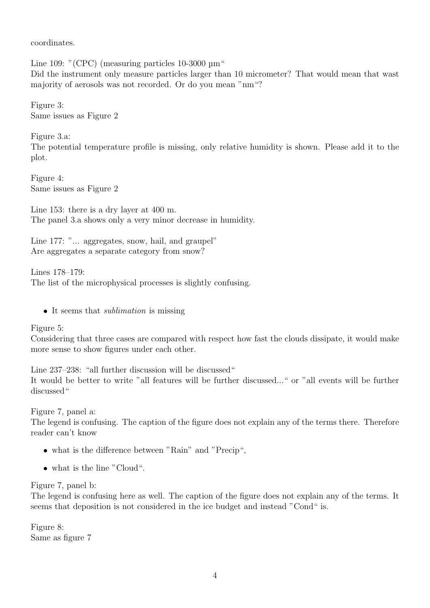coordinates.

Line 109: "(CPC) (measuring particles 10-3000  $\mu$ m" Did the instrument only measure particles larger than 10 micrometer? That would mean that wast majority of aerosols was not recorded. Or do you mean "nm"?

Figure 3: Same issues as Figure 2

Figure 3.a: The potential temperature profile is missing, only relative humidity is shown. Please add it to the plot.

Figure 4: Same issues as Figure 2

Line 153: there is a dry layer at 400 m. The panel 3.a shows only a very minor decrease in humidity.

Line 177: "... aggregates, snow, hail, and graupel" Are aggregates a separate category from snow?

Lines 178–179: The list of the microphysical processes is slightly confusing.

• It seems that *sublimation* is missing

Figure 5:

Considering that three cases are compared with respect how fast the clouds dissipate, it would make more sense to show figures under each other.

Line 237–238: "all further discussion will be discussed" It would be better to write "all features will be further discussed..." or "all events will be further discussed"

Figure 7, panel a:

The legend is confusing. The caption of the figure does not explain any of the terms there. Therefore reader can't know

- what is the difference between "Rain" and "Precip",
- what is the line "Cloud".

#### Figure 7, panel b:

The legend is confusing here as well. The caption of the figure does not explain any of the terms. It seems that deposition is not considered in the ice budget and instead "Cond" is.

Figure 8: Same as figure 7